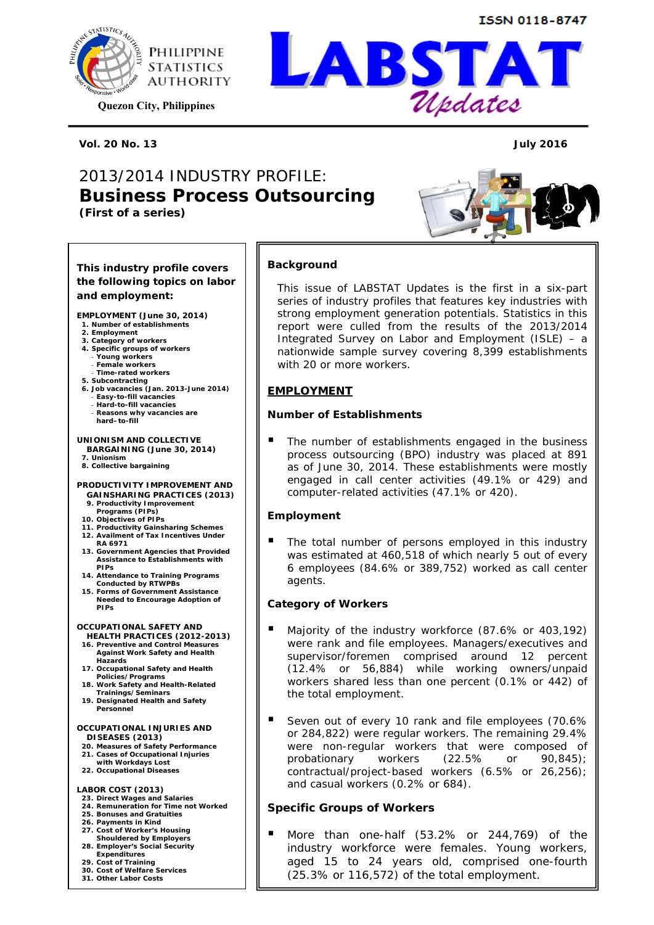

**Quezon City, Philippines** 

**Vol. 20 No. 13 July 2016** 

## *2013/2014 INDUSTRY PROFILE: Business Process Outsourcing (First of a series)*



Updates

#### **This industry profile covers the following topics on labor and employment:**

**EMPLOYMENT (June 30, 2014)** 

- **1. Number of establishments**
- **2. Employment**
- **3. Category of workers 4. Specific groups of workers**
- ‐ **Young workers**
- ‐ **Female workers**
- ‐ **Time-rated workers**
- 
- **5. Subcontracting 6. Job vacancies (Jan. 2013-June 2014)**  ‐ **Easy-to-fill vacancies**
- ‐ **Hard-to-fill vacancies**  ‐ **Reasons why vacancies are**
- **hard–to-fill**

#### **UNIONISM AND COLLECTIVE BARGAINING (June 30, 2014)**

**7. Unionism 8. Collective bargaining** 

#### **PRODUCTIVITY IMPROVEMENT AND GAINSHARING PRACTICES (2013)**

- **9. Productivity Improvement**
- **Programs (PIPs)**
- **10. Objectives of PIPs 11. Productivity Gainsharing Schemes**
- **12. Availment of Tax Incentives Under RA 6971**
- **13. Government Agencies that Provided Assistance to Establishments with PIPs**
- **14. Attendance to Training Programs Conducted by RTWPBs**
- **15. Forms of Government Assistance Needed to Encourage Adoption of PIPs**

#### **OCCUPATIONAL SAFETY AND**

- **HEALTH PRACTICES (2012-2013) 16. Preventive and Control Measures Against Work Safety and Health**
- **Hazards 17. Occupational Safety and Health**
- **Policies/Programs 18. Work Safety and Health-Related Trainings/Seminars**
- **19. Designated Health and Safety Personnel**

#### **OCCUPATIONAL INJURIES AND DISEASES (2013)**

- **20. Measures of Safety Performance**
- **21. Cases of Occupational Injuries with Workdays Lost 22. Occupational Diseases**
- 

#### **LABOR COST (2013)**

- **23. Direct Wages and Salaries**
- **24. Remuneration for Time not Worked 25. Bonuses and Gratuities**
- 
- **26. Payments in Kind 27. Cost of Worker's Housing**
- **Shouldered by Employers**
- **28. Employer's Social Security Expenditures**
- 
- **29. Cost of Training**
- **30. Cost of Welfare Services**
- **31. Other Labor Costs**

## **Background**

This issue of LABSTAT Updates is the first in a six-part series of industry profiles that features key industries with strong employment generation potentials. Statistics in this report were culled from the results of the 2013/2014 *Integrated Survey on Labor and Employment (ISLE)* – a nationwide sample survey covering 8,399 establishments with 20 or more workers.

#### **EMPLOYMENT**

#### *Number of Establishments*

 The number of establishments engaged in the business process outsourcing (BPO) industry was placed at 891 as of June 30, 2014. These establishments were mostly engaged in call center activities (49.1% or 429) and computer-related activities (47.1% or 420).

#### *Employment*

 The total number of persons employed in this industry was estimated at 460,518 of which nearly 5 out of every 6 employees (84.6% or 389,752) worked as call center agents.

#### *Category of Workers*

- Majority of the industry workforce (87.6% or 403,192) were rank and file employees. Managers/executives and supervisor/foremen comprised around 12 percent (12.4% or 56,884) while working owners/unpaid workers shared less than one percent (0.1% or 442) of the total employment.
- Seven out of every 10 rank and file employees (70.6% or 284,822) were regular workers. The remaining 29.4% were non-regular workers that were composed of probationary workers (22.5% or 90,845); contractual/project-based workers (6.5% or 26,256); and casual workers (0.2% or 684).

#### *Specific Groups of Workers*

 More than one-half (53.2% or 244,769) of the industry workforce were females. Young workers, aged 15 to 24 years old, comprised one-fourth (25.3% or 116,572) of the total employment.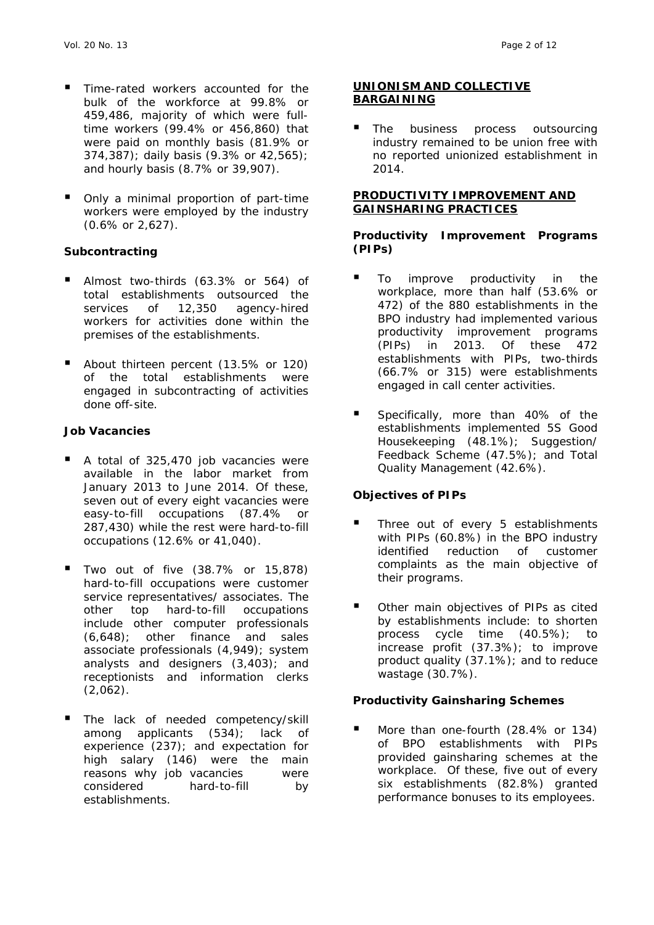- Time-rated workers accounted for the bulk of the workforce at 99.8% or 459,486, majority of which were fulltime workers (99.4% or 456,860) that were paid on monthly basis (81.9% or 374,387); daily basis (9.3% or 42,565); and hourly basis (8.7% or 39,907).
- Only a minimal proportion of part-time workers were employed by the industry (0.6% or 2,627).

## *Subcontracting*

- Almost two-thirds (63.3% or 564) of total establishments outsourced the services of 12,350 agency-hired workers for activities done within the premises of the establishments.
- About thirteen percent (13.5% or 120) of the total establishments were engaged in subcontracting of activities done off-site.

#### *Job Vacancies*

- A total of 325,470 job vacancies were available in the labor market from January 2013 to June 2014. Of these, seven out of every eight vacancies were easy-to-fill occupations (87.4% or 287,430) while the rest were hard-to-fill occupations (12.6% or 41,040).
- Two out of five (38.7% or 15,878) hard-to-fill occupations were customer service representatives/ associates. The other top hard-to-fill occupations include other computer professionals (6,648); other finance and sales associate professionals (4,949); system analysts and designers (3,403); and receptionists and information clerks (2,062).
- The lack of needed competency/skill among applicants (534); lack of experience (237); and expectation for high salary (146) were the main reasons why job vacancies were considered hard-to-fill by establishments.

#### **UNIONISM AND COLLECTIVE BARGAINING**

 The business process outsourcing industry remained to be union free with no reported unionized establishment in 2014.

#### **PRODUCTIVITY IMPROVEMENT AND GAINSHARING PRACTICES**

#### *Productivity Improvement Programs (PIPs)*

- To improve productivity in the workplace, more than half (53.6% or 472) of the 880 establishments in the BPO industry had implemented various productivity improvement programs (PIPs) in 2013. Of these 472 establishments with PIPs, two-thirds (66.7% or 315) were establishments engaged in call center activities.
- Specifically, more than 40% of the establishments implemented 5S Good Housekeeping (48.1%); Suggestion/ Feedback Scheme (47.5%); and Total Quality Management (42.6%).

## *Objectives of PIPs*

- Three out of every 5 establishments with PIPs (60.8%) in the BPO industry identified reduction of customer complaints as the main objective of their programs.
- Other main objectives of PIPs as cited by establishments include: to shorten process cycle time (40.5%); to increase profit (37.3%); to improve product quality (37.1%); and to reduce wastage (30.7%).

## *Productivity Gainsharing Schemes*

 More than one-fourth (28.4% or 134) of BPO establishments with PIPs provided gainsharing schemes at the workplace. Of these, five out of every six establishments (82.8%) granted performance bonuses to its employees.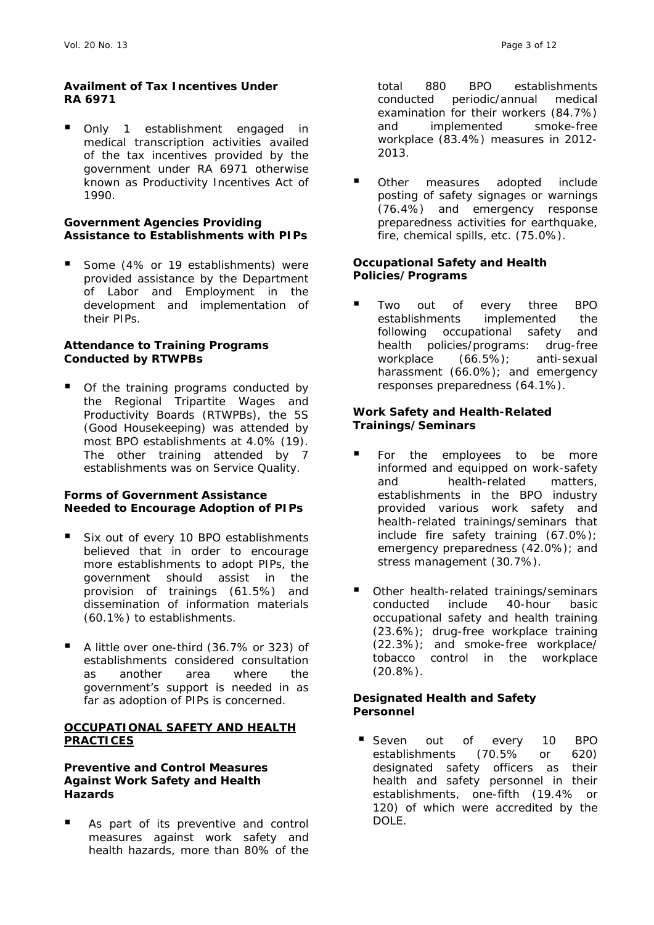#### *Availment of Tax Incentives Under RA 6971*

 Only 1 establishment engaged in medical transcription activities availed of the tax incentives provided by the government under RA 6971 otherwise known as *Productivity Incentives Act of 1990*.

#### *Government Agencies Providing Assistance to Establishments with PIPs*

 Some (4% or 19 establishments) were provided assistance by the Department of Labor and Employment in the development and implementation of their PIPs.

#### *Attendance to Training Programs Conducted by RTWPBs*

 Of the training programs conducted by the *Regional Tripartite Wages and Productivity Boards (RTWPBs)*, the 5S (Good Housekeeping) was attended by most BPO establishments at 4.0% (19). The other training attended by 7 establishments was on Service Quality.

#### *Forms of Government Assistance Needed to Encourage Adoption of PIPs*

- Six out of every 10 BPO establishments believed that in order to encourage more establishments to adopt PIPs, the government should assist in the provision of trainings (61.5%) and dissemination of information materials (60.1%) to establishments.
- A little over one-third (36.7% or 323) of establishments considered consultation as another area where the government's support is needed in as far as adoption of PIPs is concerned.

#### **OCCUPATIONAL SAFETY AND HEALTH PRACTICES**

#### *Preventive and Control Measures Against Work Safety and Health Hazards*

As part of its preventive and control measures against work safety and health hazards, more than 80% of the total 880 BPO establishments conducted periodic/annual medical examination for their workers (84.7%) and implemented smoke-free workplace (83.4%) measures in 2012- 2013.

 Other measures adopted include posting of safety signages or warnings (76.4%) and emergency response preparedness activities for earthquake, fire, chemical spills, etc. (75.0%).

## *Occupational Safety and Health Policies/Programs*

 Two out of every three BPO establishments implemented the following occupational safety and health policies/programs: drug-free workplace (66.5%); anti-sexual harassment (66.0%); and emergency responses preparedness (64.1%).

#### *Work Safety and Health-Related Trainings/Seminars*

- For the employees to be more informed and equipped on work-safety and health-related matters, establishments in the BPO industry provided various work safety and health-related trainings/seminars that include fire safety training (67.0%); emergency preparedness (42.0%); and stress management (30.7%).
- Other health-related trainings/seminars conducted include 40-hour basic occupational safety and health training (23.6%); drug-free workplace training (22.3%); and smoke-free workplace/ tobacco control in the workplace (20.8%).

#### *Designated Health and Safety Personnel*

Seven out of every 10 BPO establishments (70.5% or 620) designated safety officers as their health and safety personnel in their establishments, one-fifth (19.4% or 120) of which were accredited by the DOLE.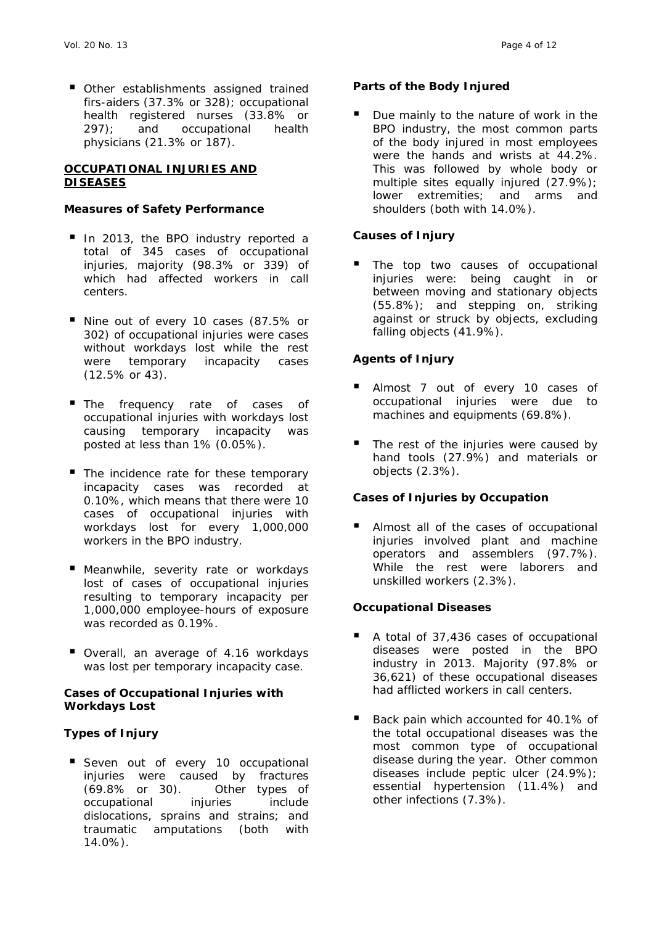Other establishments assigned trained firs-aiders (37.3% or 328); occupational health registered nurses (33.8% or 297); and occupational health physicians (21.3% or 187).

#### **OCCUPATIONAL INJURIES AND DISEASES**

#### *Measures of Safety Performance*

- In 2013, the BPO industry reported a total of 345 cases of occupational injuries, majority (98.3% or 339) of which had affected workers in call centers.
- Nine out of every 10 cases (87.5% or 302) of occupational injuries were cases without workdays lost while the rest were temporary incapacity cases (12.5% or 43).
- The frequency rate of cases of occupational injuries with workdays lost causing temporary incapacity was posted at less than 1% (0.05%).
- The incidence rate for these temporary incapacity cases was recorded at 0.10%, which means that there were 10 cases of occupational injuries with workdays lost for every 1,000,000 workers in the BPO industry.
- **Meanwhile, severity rate or workdays** lost of cases of occupational injuries resulting to temporary incapacity per 1,000,000 employee-hours of exposure was recorded as 0.19%.
- Overall, an average of 4.16 workdays was lost per temporary incapacity case.

#### *Cases of Occupational Injuries with Workdays Lost*

## *Types of Injury*

Seven out of every 10 occupational injuries were caused by fractures (69.8% or 30). Other types of occupational injuries include dislocations, sprains and strains; and traumatic amputations (both with 14.0%).

## *Parts of the Body Injured*

 Due mainly to the nature of work in the BPO industry, the most common parts of the body injured in most employees were the hands and wrists at 44.2%. This was followed by whole body or multiple sites equally injured (27.9%); lower extremities; and arms and shoulders (both with 14.0%).

## *Causes of Injury*

 The top two causes of occupational injuries were: being caught in or between moving and stationary objects (55.8%); and stepping on, striking against or struck by objects, excluding falling objects (41.9%).

## *Agents of Injury*

- Almost 7 out of every 10 cases of occupational injuries were due to machines and equipments (69.8%).
- The rest of the injuries were caused by hand tools (27.9%) and materials or objects (2.3%).

## *Cases of Injuries by Occupation*

 Almost all of the cases of occupational injuries involved plant and machine operators and assemblers (97.7%). While the rest were laborers and unskilled workers (2.3%).

## *Occupational Diseases*

- A total of 37,436 cases of occupational diseases were posted in the BPO industry in 2013. Majority (97.8% or 36,621) of these occupational diseases had afflicted workers in call centers.
- Back pain which accounted for 40.1% of the total occupational diseases was the most common type of occupational disease during the year. Other common diseases include peptic ulcer (24.9%); essential hypertension (11.4%) and other infections (7.3%).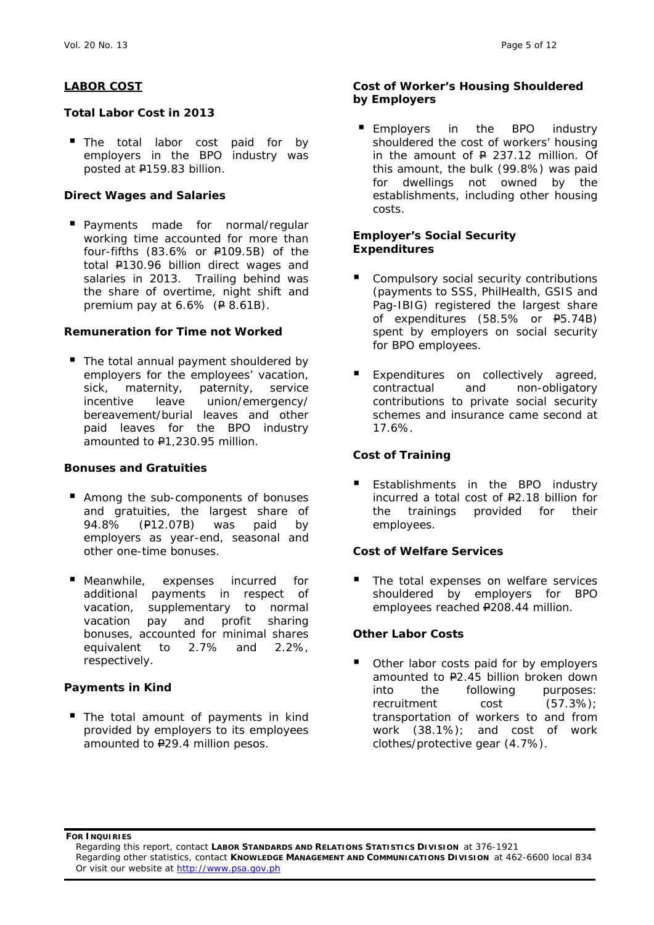#### **LABOR COST**

#### *Total Labor Cost in 2013*

The total labor cost paid for by employers in the BPO industry was posted at P159.83 billion.

#### *Direct Wages and Salaries*

**Payments made for normal/regular** working time accounted for more than four-fifths (83.6% or P109.5B) of the total P130.96 billion direct wages and salaries in 2013. Trailing behind was the share of overtime, night shift and premium pay at  $6.6\%$  ( $\neq 8.61B$ ).

#### *Remuneration for Time not Worked*

The total annual payment shouldered by employers for the employees' vacation, sick, maternity, paternity, service incentive leave union/emergency/ bereavement/burial leaves and other paid leaves for the BPO industry amounted to P1,230.95 million.

#### *Bonuses and Gratuities*

- Among the sub-components of bonuses and gratuities, the largest share of 94.8% (P12.07B) was paid by employers as year-end, seasonal and other one-time bonuses.
- **Meanwhile, expenses incurred for** additional payments in respect of vacation, supplementary to normal vacation pay and profit sharing bonuses, accounted for minimal shares equivalent to 2.7% and 2.2%, respectively.

## *Payments in Kind*

The total amount of payments in kind provided by employers to its employees amounted to P29.4 million pesos.

#### *Cost of Worker's Housing Shouldered by Employers*

Employers in the BPO industry shouldered the cost of workers' housing in the amount of  $P$  237.12 million. Of this amount, the bulk (99.8%) was paid for dwellings not owned by the establishments, including other housing costs.

#### *Employer's Social Security Expenditures*

- Compulsory social security contributions (payments to SSS, PhilHealth, GSIS and Pag-IBIG) registered the largest share of expenditures (58.5% or P5.74B) spent by employers on social security for BPO employees.
- Expenditures on collectively agreed, contractual and non-obligatory contributions to private social security schemes and insurance came second at 17.6%.

#### *Cost of Training*

 Establishments in the BPO industry incurred a total cost of P2.18 billion for the trainings provided for their employees.

#### *Cost of Welfare Services*

 The total expenses on welfare services shouldered by employers for BPO employees reached P208.44 million.

## *Other Labor Costs*

 Other labor costs paid for by employers amounted to P2.45 billion broken down into the following purposes: recruitment cost (57.3%); transportation of workers to and from work (38.1%); and cost of work clothes/protective gear (4.7%).

**FOR INQUIRIES**

Regarding this report, contact **LABOR STANDARDS AND RELATIONS STATISTICS DIVISION** at 376-1921 Regarding other statistics, contact **KNOWLEDGE MANAGEMENT AND COMMUNICATIONS DIVISION** at 462-6600 local 834 Or visit our website at http://www.psa.gov.ph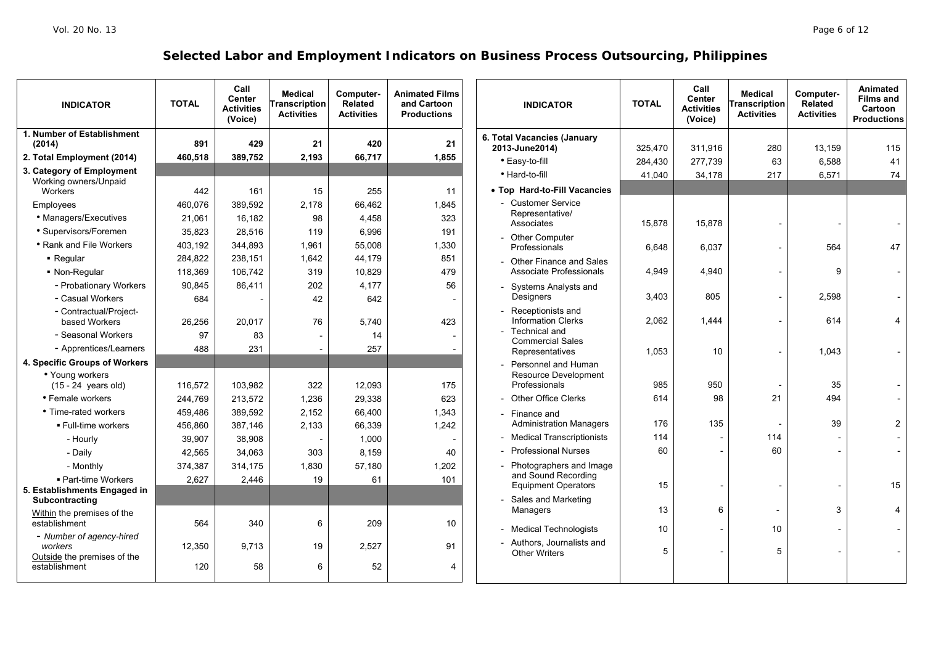| <b>INDICATOR</b>                                                      | <b>TOTAL</b> | Call<br><b>Center</b><br><b>Activities</b><br>(Voice) | <b>Medical</b><br>Transcription<br><b>Activities</b> | Computer-<br><b>Related</b><br><b>Activities</b> | <b>Animated Films</b><br>and Cartoon<br><b>Productions</b> |
|-----------------------------------------------------------------------|--------------|-------------------------------------------------------|------------------------------------------------------|--------------------------------------------------|------------------------------------------------------------|
| 1. Number of Establishment<br>(2014)                                  | 891          | 429                                                   | 21                                                   | 420                                              | 21                                                         |
| 2. Total Employment (2014)                                            | 460,518      | 389,752                                               | 2,193                                                | 66,717                                           | 1,855                                                      |
| 3. Category of Employment<br>Working owners/Unpaid<br>Workers         | 442          | 161                                                   | 15                                                   | 255                                              | 11                                                         |
| Employees                                                             | 460,076      | 389,592                                               | 2,178                                                | 66,462                                           | 1.845                                                      |
| • Managers/Executives                                                 | 21,061       | 16,182                                                | 98                                                   | 4,458                                            | 323                                                        |
| • Supervisors/Foremen                                                 | 35,823       | 28.516                                                | 119                                                  | 6.996                                            | 191                                                        |
| • Rank and File Workers                                               | 403,192      | 344,893                                               | 1,961                                                | 55,008                                           | 1,330                                                      |
| • Regular                                                             | 284,822      | 238,151                                               | 1,642                                                | 44,179                                           | 851                                                        |
| • Non-Regular                                                         | 118,369      | 106,742                                               | 319                                                  | 10,829                                           | 479                                                        |
| - Probationary Workers                                                | 90,845       | 86,411                                                | 202                                                  | 4,177                                            | 56                                                         |
| - Casual Workers                                                      | 684          |                                                       | 42                                                   | 642                                              |                                                            |
| - Contractual/Project-<br>based Workers                               | 26,256       | 20,017                                                | 76                                                   | 5,740                                            | 423                                                        |
| - Seasonal Workers                                                    | 97           | 83                                                    | $\overline{a}$                                       | 14                                               |                                                            |
| - Apprentices/Learners                                                | 488          | 231                                                   |                                                      | 257                                              |                                                            |
| 4. Specific Groups of Workers                                         |              |                                                       |                                                      |                                                  |                                                            |
| • Young workers                                                       |              |                                                       |                                                      |                                                  |                                                            |
| $(15 - 24$ years old)                                                 | 116,572      | 103,982                                               | 322                                                  | 12,093                                           | 175                                                        |
| • Female workers                                                      | 244,769      | 213,572                                               | 1,236                                                | 29,338                                           | 623                                                        |
| • Time-rated workers                                                  | 459,486      | 389,592                                               | 2,152                                                | 66,400                                           | 1,343                                                      |
| ■ Full-time workers                                                   | 456,860      | 387,146                                               | 2,133                                                | 66,339                                           | 1,242                                                      |
| - Hourly                                                              | 39,907       | 38,908                                                |                                                      | 1,000                                            |                                                            |
| - Daily                                                               | 42,565       | 34,063                                                | 303                                                  | 8,159                                            | 40                                                         |
| - Monthly                                                             | 374,387      | 314,175                                               | 1,830                                                | 57,180                                           | 1,202                                                      |
| • Part-time Workers<br>5. Establishments Engaged in<br>Subcontracting | 2,627        | 2,446                                                 | 19                                                   | 61                                               | 101                                                        |
| Within the premises of the<br>establishment                           | 564          | 340                                                   | 6                                                    | 209                                              | 10                                                         |
| - Number of agency-hired<br>workers<br>Outside the premises of the    | 12,350       | 9,713                                                 | 19                                                   | 2,527                                            | 91                                                         |
| establishment                                                         | 120          | 58                                                    | 6                                                    | 52                                               | 4                                                          |

| <b>INDICATOR</b>                                                                               | <b>TOTAL</b> | Call<br><b>Center</b><br><b>Activities</b><br>(Voice) | <b>Medical</b><br><b>Transcription</b><br><b>Activities</b> | Computer-<br>Related<br><b>Activities</b> | Animated<br><b>Films and</b><br><b>Cartoon</b><br><b>Productions</b> |
|------------------------------------------------------------------------------------------------|--------------|-------------------------------------------------------|-------------------------------------------------------------|-------------------------------------------|----------------------------------------------------------------------|
| 6. Total Vacancies (January                                                                    |              |                                                       |                                                             |                                           |                                                                      |
| 2013-June2014)                                                                                 | 325,470      | 311,916                                               | 280                                                         | 13,159                                    | 115                                                                  |
| · Easy-to-fill                                                                                 | 284,430      | 277,739                                               | 63                                                          | 6,588                                     | 41                                                                   |
| • Hard-to-fill                                                                                 | 41,040       | 34,178                                                | 217                                                         | 6,571                                     | 74                                                                   |
| • Top Hard-to-Fill Vacancies                                                                   |              |                                                       |                                                             |                                           |                                                                      |
| - Customer Service<br>Representative/<br>Associates                                            | 15,878       | 15,878                                                | $\overline{a}$                                              |                                           |                                                                      |
| - Other Computer<br>Professionals                                                              | 6,648        | 6,037                                                 | $\overline{a}$                                              | 564                                       | 47                                                                   |
| - Other Finance and Sales<br>Associate Professionals                                           | 4,949        | 4,940                                                 | Ĭ.                                                          | 9                                         |                                                                      |
| - Systems Analysts and<br>Designers                                                            | 3,403        | 805                                                   | $\qquad \qquad \blacksquare$                                | 2,598                                     |                                                                      |
| - Receptionists and<br><b>Information Clerks</b><br>- Technical and<br><b>Commercial Sales</b> | 2,062        | 1,444                                                 | $\overline{a}$                                              | 614                                       | 4                                                                    |
| Representatives                                                                                | 1,053        | 10                                                    | $\overline{a}$                                              | 1,043                                     |                                                                      |
| Personnel and Human<br>Resource Development<br>Professionals                                   | 985          | 950                                                   |                                                             | 35                                        |                                                                      |
| <b>Other Office Clerks</b>                                                                     | 614          | 98                                                    | 21                                                          | 494                                       |                                                                      |
| - Finance and<br><b>Administration Managers</b>                                                | 176          | 135                                                   |                                                             | 39                                        | 2                                                                    |
| <b>Medical Transcriptionists</b>                                                               | 114          |                                                       | 114                                                         |                                           |                                                                      |
| <b>Professional Nurses</b>                                                                     | 60           | $\overline{a}$                                        | 60                                                          |                                           |                                                                      |
| Photographers and Image<br>and Sound Recording<br>Equipment Operators                          | 15           | $\overline{a}$                                        |                                                             |                                           | 15                                                                   |
| Sales and Marketing<br>Managers                                                                | 13           | 6                                                     |                                                             | 3                                         | 4                                                                    |
| <b>Medical Technologists</b>                                                                   | 10           | $\overline{a}$                                        | 10                                                          |                                           |                                                                      |
| Authors, Journalists and<br><b>Other Writers</b>                                               | 5            | $\overline{a}$                                        | 5                                                           |                                           |                                                                      |
|                                                                                                |              |                                                       |                                                             |                                           |                                                                      |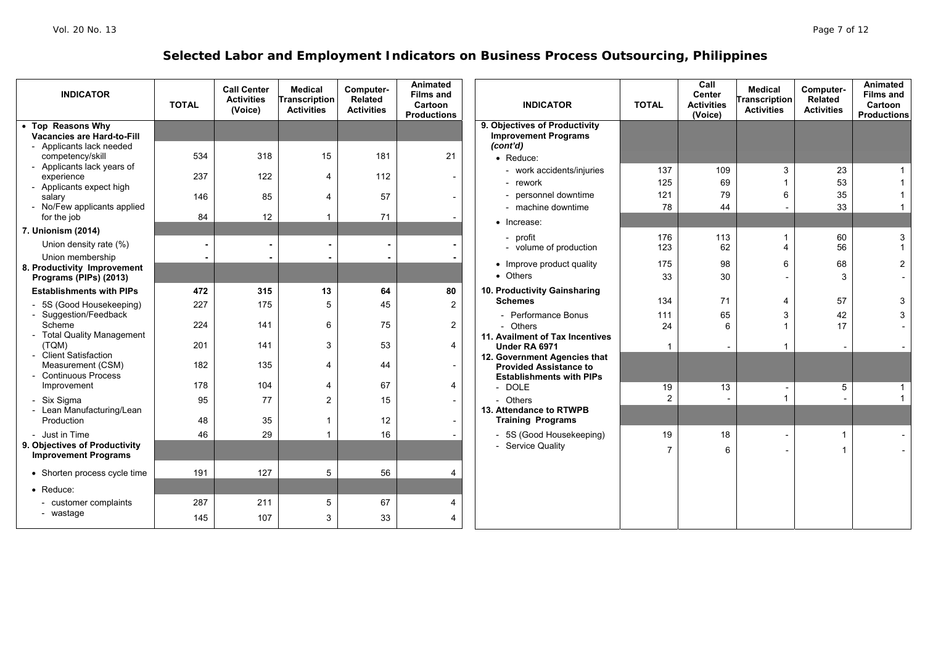| <b>INDICATOR</b>                                          | <b>TOTAL</b> | <b>Call Center</b><br><b>Activities</b><br>(Voice) | <b>Medical</b><br><b>Transcription</b><br><b>Activities</b> | Computer-<br><b>Related</b><br><b>Activities</b> | Animated<br><b>Films and</b><br>Cartoon<br><b>Productions</b> | <b>INDICATOR</b>                                             | <b>TOTAL</b>   | Call<br><b>Center</b><br><b>Activities</b><br>(Voice) | <b>Medical</b><br><b>Transcription</b><br><b>Activities</b> | Computer-<br>Related<br><b>Activities</b> | Animated<br><b>Films and</b><br>Cartoon<br><b>Productions</b> |
|-----------------------------------------------------------|--------------|----------------------------------------------------|-------------------------------------------------------------|--------------------------------------------------|---------------------------------------------------------------|--------------------------------------------------------------|----------------|-------------------------------------------------------|-------------------------------------------------------------|-------------------------------------------|---------------------------------------------------------------|
| • Top Reasons Why<br><b>Vacancies are Hard-to-Fill</b>    |              |                                                    |                                                             |                                                  |                                                               | 9. Objectives of Productivity<br><b>Improvement Programs</b> |                |                                                       |                                                             |                                           |                                                               |
| - Applicants lack needed                                  |              |                                                    |                                                             |                                                  |                                                               | (cont'd)                                                     |                |                                                       |                                                             |                                           |                                                               |
| competency/skill                                          | 534          | 318                                                | 15                                                          | 181                                              | 21                                                            | • Reduce:                                                    |                |                                                       |                                                             |                                           |                                                               |
| - Applicants lack years of<br>experience                  | 237          | 122                                                | 4                                                           | 112                                              | $\overline{\phantom{a}}$                                      | - work accidents/injuries                                    | 137            | 109                                                   | 3                                                           | 23                                        |                                                               |
| - Applicants expect high                                  |              |                                                    |                                                             |                                                  |                                                               | - rework                                                     | 125            | 69                                                    |                                                             | 53                                        |                                                               |
| salary<br>- No/Few applicants applied                     | 146          | 85                                                 | $\overline{4}$                                              | 57                                               |                                                               | - personnel downtime<br>- machine downtime                   | 121<br>78      | 79<br>44                                              | 6                                                           | 35<br>33                                  |                                                               |
| for the job                                               | 84           | 12                                                 |                                                             | 71                                               |                                                               |                                                              |                |                                                       |                                                             |                                           |                                                               |
| 7. Unionism (2014)                                        |              |                                                    |                                                             |                                                  |                                                               | • Increase:                                                  |                |                                                       |                                                             |                                           |                                                               |
| Union density rate (%)                                    |              |                                                    |                                                             | ۰                                                |                                                               | - profit<br>- volume of production                           | 176<br>123     | 113<br>62                                             | 1<br>$\overline{4}$                                         | 60<br>56                                  | $\mathbf{3}$<br>1                                             |
| Union membership                                          |              |                                                    |                                                             |                                                  |                                                               |                                                              | 175            |                                                       |                                                             |                                           |                                                               |
| 8. Productivity Improvement                               |              |                                                    |                                                             |                                                  |                                                               | • Improve product quality<br>• Others                        | 33             | 98<br>30                                              | 6                                                           | 68<br>3                                   | $\overline{a}$                                                |
| Programs (PIPs) (2013)<br><b>Establishments with PIPs</b> | 472          | 315                                                | 13                                                          | 64                                               | 80                                                            | 10. Productivity Gainsharing                                 |                |                                                       |                                                             |                                           |                                                               |
| - 5S (Good Housekeeping)                                  | 227          | 175                                                | 5                                                           | 45                                               | $\overline{a}$                                                | <b>Schemes</b>                                               | 134            | 71                                                    | 4                                                           | 57                                        | 3                                                             |
| - Suggestion/Feedback                                     |              |                                                    |                                                             |                                                  |                                                               | - Performance Bonus                                          | 111            | 65                                                    | 3                                                           | 42                                        | 3 <sup>1</sup>                                                |
| Scheme                                                    | 224          | 141                                                | 6                                                           | 75                                               | $\overline{a}$                                                | - Others                                                     | 24             | 6                                                     | 1                                                           | 17                                        |                                                               |
| - Total Quality Management<br>(TQM)                       | 201          | 141                                                | 3                                                           | 53                                               | $\overline{4}$                                                | 11. Availment of Tax Incentives<br>Under RA 6971             |                |                                                       | 1                                                           |                                           |                                                               |
| - Client Satisfaction                                     |              |                                                    |                                                             |                                                  |                                                               | 12. Government Agencies that                                 |                |                                                       |                                                             |                                           |                                                               |
| Measurement (CSM)<br>- Continuous Process                 | 182          | 135                                                | 4                                                           | 44                                               | $\overline{\phantom{a}}$                                      | <b>Provided Assistance to</b>                                |                |                                                       |                                                             |                                           |                                                               |
| Improvement                                               | 178          | 104                                                | 4                                                           | 67                                               | 4                                                             | <b>Establishments with PIPs</b><br>- DOLE                    | 19             | $\overline{13}$                                       |                                                             | 5                                         | $\mathbf{1}$                                                  |
| - Six Sigma                                               | 95           | 77                                                 | $\overline{2}$                                              | 15                                               | $\overline{\phantom{a}}$                                      | - Others                                                     | $\overline{2}$ |                                                       | 1                                                           |                                           | 1                                                             |
| - Lean Manufacturing/Lean                                 |              |                                                    |                                                             |                                                  |                                                               | 13. Attendance to RTWPB                                      |                |                                                       |                                                             |                                           |                                                               |
| Production                                                | 48           | 35                                                 |                                                             | 12                                               | $\overline{\phantom{a}}$                                      | <b>Training Programs</b>                                     |                |                                                       |                                                             |                                           |                                                               |
| Just in Time<br>9. Objectives of Productivity             | 46           | 29                                                 |                                                             | 16                                               |                                                               | - 5S (Good Housekeeping)                                     | 19             | 18                                                    |                                                             |                                           |                                                               |
| <b>Improvement Programs</b>                               |              |                                                    |                                                             |                                                  |                                                               | - Service Quality                                            | $\overline{7}$ | 6                                                     |                                                             |                                           |                                                               |
| • Shorten process cycle time                              | 191          | 127                                                | 5                                                           | 56                                               | 4                                                             |                                                              |                |                                                       |                                                             |                                           |                                                               |
| • Reduce:                                                 |              |                                                    |                                                             |                                                  |                                                               |                                                              |                |                                                       |                                                             |                                           |                                                               |
| - customer complaints                                     | 287          | 211                                                | 5                                                           | 67                                               | $\overline{\mathbf{4}}$                                       |                                                              |                |                                                       |                                                             |                                           |                                                               |
| - wastage                                                 | 145          | 107                                                | 3                                                           | 33                                               | $\overline{4}$                                                |                                                              |                |                                                       |                                                             |                                           |                                                               |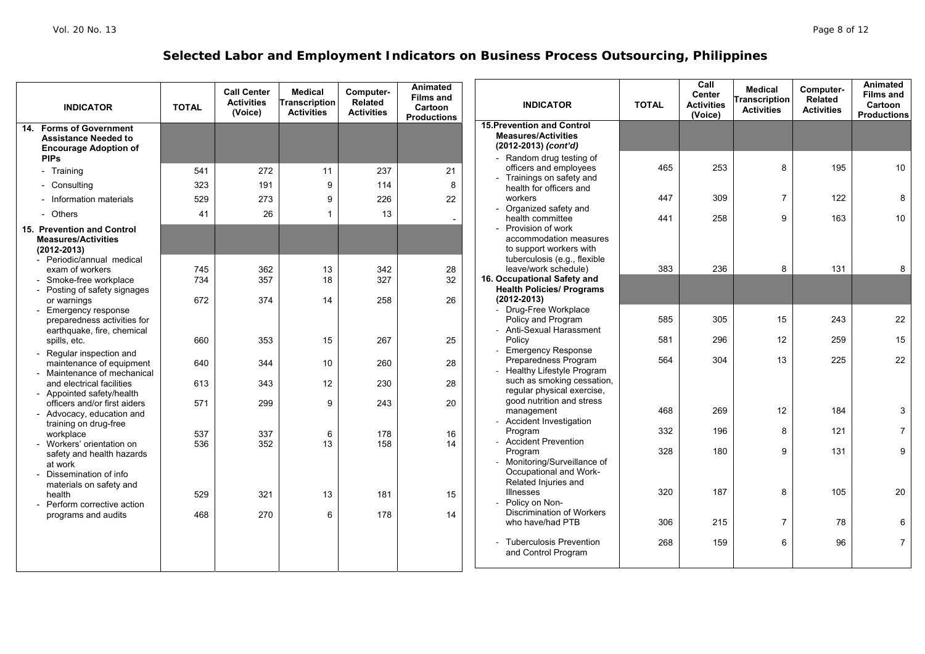| <b>INDICATOR</b>                                          | <b>TOTAL</b> | <b>Call Center</b><br><b>Activities</b><br>(Voice) | <b>Medical</b><br><b>Transcription</b><br><b>Activities</b> | Computer-<br>Related<br><b>Activities</b> | Animated<br><b>Films and</b><br>Cartoon<br><b>Productions</b> | <b>INDICATOR</b>                                                | <b>TOTAL</b> | Call<br>Center<br><b>Activities</b><br>(Voice) | <b>Medical</b><br><b>Transcription</b><br><b>Activities</b> | Computer-<br>Related<br><b>Activities</b> | Animated<br><b>Films and</b><br>Cartoon<br><b>Productions</b> |
|-----------------------------------------------------------|--------------|----------------------------------------------------|-------------------------------------------------------------|-------------------------------------------|---------------------------------------------------------------|-----------------------------------------------------------------|--------------|------------------------------------------------|-------------------------------------------------------------|-------------------------------------------|---------------------------------------------------------------|
| 14. Forms of Government<br><b>Assistance Needed to</b>    |              |                                                    |                                                             |                                           |                                                               | <b>15. Prevention and Control</b><br><b>Measures/Activities</b> |              |                                                |                                                             |                                           |                                                               |
| <b>Encourage Adoption of</b>                              |              |                                                    |                                                             |                                           |                                                               | (2012-2013) (cont'd)                                            |              |                                                |                                                             |                                           |                                                               |
| <b>PIPs</b>                                               |              |                                                    |                                                             |                                           |                                                               | - Random drug testing of                                        |              |                                                |                                                             |                                           |                                                               |
| - Training                                                | 541          | 272                                                | 11                                                          | 237                                       | 21                                                            | officers and employees<br>- Trainings on safety and             | 465          | 253                                            | 8                                                           | 195                                       | 10                                                            |
| - Consulting                                              | 323          | 191                                                | 9                                                           | 114                                       | 8                                                             | health for officers and                                         |              |                                                |                                                             |                                           |                                                               |
| - Information materials                                   | 529          | 273                                                | 9                                                           | 226                                       | 22                                                            | workers                                                         | 447          | 309                                            | $\overline{7}$                                              | 122                                       | 8                                                             |
| - Others                                                  | 41           | 26                                                 | $\mathbf{1}$                                                | 13                                        |                                                               | - Organized safety and<br>health committee                      |              | 258                                            | 9                                                           | 163                                       | 10                                                            |
| 15. Prevention and Control                                |              |                                                    |                                                             |                                           | $\overline{\phantom{a}}$                                      | Provision of work                                               | 441          |                                                |                                                             |                                           |                                                               |
| <b>Measures/Activities</b>                                |              |                                                    |                                                             |                                           |                                                               | accommodation measures                                          |              |                                                |                                                             |                                           |                                                               |
| $(2012 - 2013)$                                           |              |                                                    |                                                             |                                           |                                                               | to support workers with                                         |              |                                                |                                                             |                                           |                                                               |
| - Periodic/annual medical                                 |              |                                                    |                                                             |                                           |                                                               | tuberculosis (e.g., flexible                                    |              |                                                |                                                             |                                           |                                                               |
| exam of workers                                           | 745          | 362                                                | 13                                                          | 342                                       | 28                                                            | leave/work schedule)                                            | 383          | 236                                            | 8                                                           | 131                                       | 8                                                             |
| Smoke-free workplace                                      | 734          | 357                                                | 18                                                          | 327                                       | 32                                                            | 16. Occupational Safety and                                     |              |                                                |                                                             |                                           |                                                               |
| Posting of safety signages                                |              |                                                    |                                                             |                                           |                                                               | <b>Health Policies/ Programs</b>                                |              |                                                |                                                             |                                           |                                                               |
| or warnings                                               | 672          | 374                                                | 14                                                          | 258                                       | 26                                                            | $(2012 - 2013)$                                                 |              |                                                |                                                             |                                           |                                                               |
| <b>Emergency response</b>                                 |              |                                                    |                                                             |                                           |                                                               | - Drug-Free Workplace                                           |              |                                                |                                                             |                                           |                                                               |
| preparedness activities for<br>earthquake, fire, chemical |              |                                                    |                                                             |                                           |                                                               | Policy and Program<br>- Anti-Sexual Harassment                  | 585          | 305                                            | 15                                                          | 243                                       | 22                                                            |
| spills, etc.                                              | 660          | 353                                                | 15                                                          | 267                                       | 25                                                            | Policy                                                          | 581          | 296                                            | 12                                                          | 259                                       | 15                                                            |
| - Regular inspection and                                  |              |                                                    |                                                             |                                           |                                                               | <b>Emergency Response</b>                                       |              |                                                |                                                             |                                           |                                                               |
| maintenance of equipment                                  | 640          | 344                                                | 10                                                          | 260                                       | 28                                                            | Preparedness Program                                            | 564          | 304                                            | 13                                                          | 225                                       | 22                                                            |
| - Maintenance of mechanical                               |              |                                                    |                                                             |                                           |                                                               | Healthy Lifestyle Program                                       |              |                                                |                                                             |                                           |                                                               |
| and electrical facilities                                 | 613          | 343                                                | 12                                                          | 230                                       | 28                                                            | such as smoking cessation,                                      |              |                                                |                                                             |                                           |                                                               |
| - Appointed safety/health                                 |              |                                                    |                                                             |                                           |                                                               | regular physical exercise,<br>good nutrition and stress         |              |                                                |                                                             |                                           |                                                               |
| officers and/or first aiders                              | 571          | 299                                                | 9                                                           | 243                                       | 20                                                            | management                                                      | 468          | 269                                            | 12                                                          | 184                                       | 3                                                             |
| - Advocacy, education and<br>training on drug-free        |              |                                                    |                                                             |                                           |                                                               | <b>Accident Investigation</b>                                   |              |                                                |                                                             |                                           |                                                               |
| workplace                                                 | 537          | 337                                                | 6                                                           | 178                                       | 16                                                            | Program                                                         | 332          | 196                                            | 8                                                           | 121                                       | 7 <sup>1</sup>                                                |
| - Workers' orientation on                                 | 536          | 352                                                | 13                                                          | 158                                       | 14                                                            | <b>Accident Prevention</b>                                      |              |                                                |                                                             |                                           |                                                               |
| safety and health hazards                                 |              |                                                    |                                                             |                                           |                                                               | Program                                                         | 328          | 180                                            | 9                                                           | 131                                       | 9                                                             |
| at work                                                   |              |                                                    |                                                             |                                           |                                                               | Monitoring/Surveillance of                                      |              |                                                |                                                             |                                           |                                                               |
| Dissemination of info                                     |              |                                                    |                                                             |                                           |                                                               | Occupational and Work-                                          |              |                                                |                                                             |                                           |                                                               |
| materials on safety and                                   |              |                                                    |                                                             |                                           |                                                               | Related Injuries and<br><b>Illnesses</b>                        | 320          | 187                                            | 8                                                           | 105                                       | 20                                                            |
| health                                                    | 529          | 321                                                | 13                                                          | 181                                       | 15                                                            | Policy on Non-                                                  |              |                                                |                                                             |                                           |                                                               |
| - Perform corrective action                               | 468          | 270                                                | 6                                                           | 178                                       | 14                                                            | <b>Discrimination of Workers</b>                                |              |                                                |                                                             |                                           |                                                               |
| programs and audits                                       |              |                                                    |                                                             |                                           |                                                               | who have/had PTB                                                | 306          | 215                                            | $\overline{7}$                                              | 78                                        | 6                                                             |
|                                                           |              |                                                    |                                                             |                                           |                                                               |                                                                 |              |                                                |                                                             |                                           |                                                               |
|                                                           |              |                                                    |                                                             |                                           |                                                               | <b>Tuberculosis Prevention</b>                                  | 268          | 159                                            | 6                                                           | 96                                        | $\overline{7}$                                                |
|                                                           |              |                                                    |                                                             |                                           |                                                               | and Control Program                                             |              |                                                |                                                             |                                           |                                                               |
|                                                           |              |                                                    |                                                             |                                           |                                                               |                                                                 |              |                                                |                                                             |                                           |                                                               |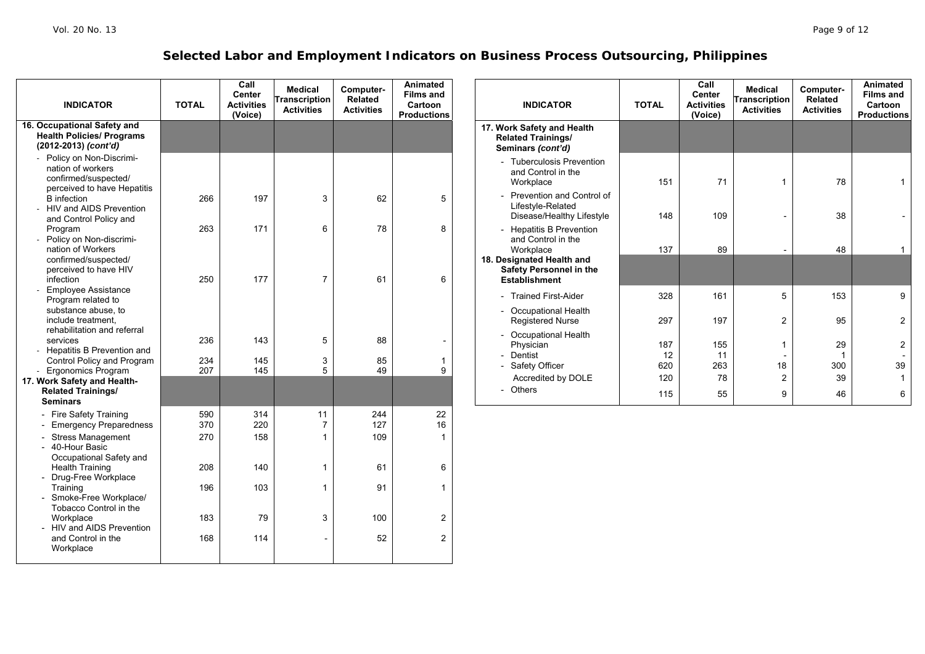| <b>INDICATOR</b>                                                                                    | <b>TOTAL</b>      | Call<br>Center<br><b>Activities</b><br>(Voice) | <b>Medical</b><br><b>Transcription</b><br><b>Activities</b> | Computer-<br>Related<br><b>Activities</b> | Animated<br><b>Films and</b><br>Cartoon<br><b>Productions</b> | <b>INDICATOR</b>                                                                    | <b>TOTAL</b>     | Call<br>Center<br><b>Activities</b><br>(Voice) | <b>Medical</b><br>ranscription<br><b>Activities</b> | Computer-<br>Related<br><b>Activities</b> | Animated<br><b>Films and</b><br>Cartoon<br><b>Productions</b> |
|-----------------------------------------------------------------------------------------------------|-------------------|------------------------------------------------|-------------------------------------------------------------|-------------------------------------------|---------------------------------------------------------------|-------------------------------------------------------------------------------------|------------------|------------------------------------------------|-----------------------------------------------------|-------------------------------------------|---------------------------------------------------------------|
| 16. Occupational Safety and<br><b>Health Policies/ Programs</b><br>(2012-2013) (cont'd)             |                   |                                                |                                                             |                                           |                                                               | 17. Work Safety and Health<br><b>Related Trainings/</b><br>Seminars (cont'd)        |                  |                                                |                                                     |                                           |                                                               |
| Policy on Non-Discrimi-<br>nation of workers<br>confirmed/suspected/<br>perceived to have Hepatitis |                   |                                                |                                                             |                                           |                                                               | - Tuberculosis Prevention<br>and Control in the<br>Workplace                        | 151              | 71                                             | $\overline{1}$                                      | 78                                        | $\mathbf{1}$                                                  |
| <b>B</b> infection<br>HIV and AIDS Prevention<br>and Control Policy and                             | 266               | 197                                            | 3                                                           | 62                                        | 5                                                             | Prevention and Control of<br>Lifestyle-Related<br>Disease/Healthy Lifestyle         | 148              | 109                                            |                                                     | 38                                        | $\overline{\phantom{a}}$                                      |
| Program<br>Policy on Non-discrimi-<br>nation of Workers                                             | 263               | 171                                            | 6                                                           | 78                                        | 8                                                             | - Hepatitis B Prevention<br>and Control in the<br>Workplace                         | 137              | 89                                             |                                                     | 48                                        | $\mathbf{1}$                                                  |
| confirmed/suspected/<br>perceived to have HIV<br>infection                                          | 250               | 177                                            | $\overline{7}$                                              | 61                                        | 6                                                             | 18. Designated Health and<br><b>Safety Personnel in the</b><br><b>Establishment</b> |                  |                                                |                                                     |                                           |                                                               |
| <b>Employee Assistance</b><br>Program related to<br>substance abuse, to<br>include treatment.       |                   |                                                |                                                             |                                           |                                                               | - Trained First-Aider<br>- Occupational Health                                      | 328              | 161                                            | 5                                                   | 153                                       | 9                                                             |
| rehabilitation and referral<br>services<br>Hepatitis B Prevention and                               | 236               | 143                                            | 5                                                           | 88                                        |                                                               | <b>Registered Nurse</b><br>- Occupational Health<br>Physician                       | 297<br>187       | 197<br>155                                     | $\overline{c}$<br>$\mathbf{1}$                      | 95<br>29                                  | $\overline{2}$<br>$\boldsymbol{2}$                            |
| Control Policy and Program<br>Ergonomics Program<br>17. Work Safety and Health-                     | 234<br>207        | 145<br>145                                     | 3<br>5                                                      | 85<br>49                                  | $\overline{\mathbf{1}}$<br>9                                  | - Dentist<br>Safety Officer<br>Accredited by DOLE                                   | 12<br>620<br>120 | 11<br>263<br>78                                | 18<br>$\overline{c}$                                | $\overline{1}$<br>300<br>39               | $\overline{\phantom{a}}$<br>39<br>$\mathbf{1}$                |
| <b>Related Trainings/</b><br><b>Seminars</b>                                                        |                   |                                                |                                                             |                                           |                                                               | - Others                                                                            | 115              | 55                                             | 9                                                   | 46                                        | 6                                                             |
| - Fire Safety Training<br>Emergency Preparedness<br>- Stress Management<br>- 40-Hour Basic          | 590<br>370<br>270 | 314<br>220<br>158                              | 11<br>$\overline{7}$<br>$\overline{1}$                      | 244<br>127<br>109                         | 22<br>16<br>$\overline{1}$                                    |                                                                                     |                  |                                                |                                                     |                                           |                                                               |
| Occupational Safety and<br><b>Health Training</b><br>Drug-Free Workplace                            | 208               | 140                                            | $\overline{1}$                                              | 61                                        | 6                                                             |                                                                                     |                  |                                                |                                                     |                                           |                                                               |
| Training<br>Smoke-Free Workplace/<br>Tobacco Control in the                                         | 196               | 103                                            | $\overline{1}$                                              | 91                                        | $\mathbf{1}$                                                  |                                                                                     |                  |                                                |                                                     |                                           |                                                               |
| Workplace<br>- HIV and AIDS Prevention<br>and Control in the                                        | 183<br>168        | 79<br>114                                      | 3                                                           | 100<br>52                                 | $\overline{2}$<br>$\overline{2}$                              |                                                                                     |                  |                                                |                                                     |                                           |                                                               |
| Workplace                                                                                           |                   |                                                |                                                             |                                           |                                                               |                                                                                     |                  |                                                |                                                     |                                           |                                                               |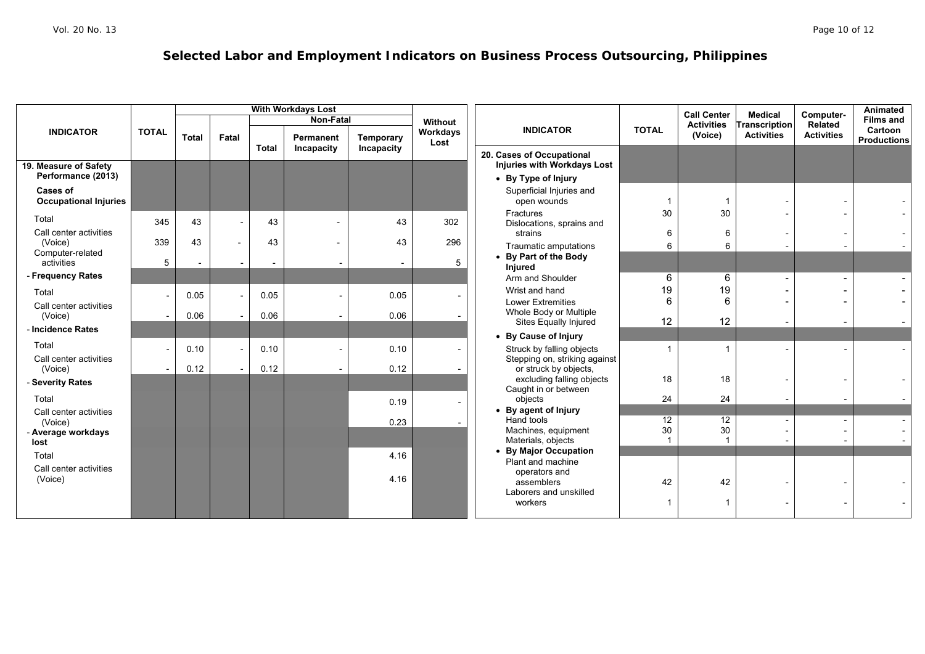|                                   |                          | <b>With Workdays Lost</b> |                          |                          |            |            |                  |                                                        |                | <b>Call Center</b> | <b>Medical</b>       | Computer-         | Animated                      |
|-----------------------------------|--------------------------|---------------------------|--------------------------|--------------------------|------------|------------|------------------|--------------------------------------------------------|----------------|--------------------|----------------------|-------------------|-------------------------------|
|                                   |                          |                           |                          |                          | Non-Fatal  |            | Without          |                                                        |                | <b>Activities</b>  | <b>Transcription</b> | Related           | <b>Films and</b>              |
| <b>INDICATOR</b>                  | <b>TOTAL</b>             | <b>Total</b>              | Fatal                    |                          | Permanent  | Temporary  | Workdays<br>Lost | <b>INDICATOR</b>                                       | <b>TOTAL</b>   | (Voice)            | <b>Activities</b>    | <b>Activities</b> | Cartoon<br><b>Productions</b> |
|                                   |                          |                           |                          | <b>Total</b>             | Incapacity | Incapacity |                  | 20. Cases of Occupational                              |                |                    |                      |                   |                               |
| 19. Measure of Safety             |                          |                           |                          |                          |            |            |                  | Injuries with Workdays Lost                            |                |                    |                      |                   |                               |
| Performance (2013)                |                          |                           |                          |                          |            |            |                  | • By Type of Injury                                    |                |                    |                      |                   |                               |
| <b>Cases of</b>                   |                          |                           |                          |                          |            |            |                  | Superficial Injuries and                               |                |                    |                      |                   |                               |
| <b>Occupational Injuries</b>      |                          |                           |                          |                          |            |            |                  | open wounds                                            |                |                    |                      |                   |                               |
| Total                             |                          |                           |                          |                          |            |            |                  | Fractures                                              | 30             | 30                 |                      |                   |                               |
| Call center activities            | 345                      | 43                        |                          | 43                       |            | 43         | 302              | Dislocations, sprains and                              |                |                    |                      |                   |                               |
| (Voice)                           | 339                      | 43                        | $\overline{\phantom{a}}$ | 43                       |            | 43         | 296              | strains                                                | 6              | 6                  |                      |                   |                               |
| Computer-related                  |                          |                           |                          |                          |            |            |                  | Traumatic amputations                                  | 6              | 6                  |                      |                   |                               |
| activities                        | 5                        | $\overline{\phantom{a}}$  | $\overline{\phantom{a}}$ | $\overline{\phantom{0}}$ |            |            | 5                | • By Part of the Body<br>Injured                       |                |                    |                      |                   |                               |
| - Frequency Rates                 |                          |                           |                          |                          |            |            |                  | Arm and Shoulder                                       | $\,6\,$        | 6                  |                      |                   |                               |
| Total                             |                          | 0.05                      |                          | 0.05                     |            | 0.05       |                  | Wrist and hand                                         | 19             | 19                 |                      |                   |                               |
| Call center activities            | $\overline{\phantom{a}}$ |                           |                          |                          |            |            |                  | <b>Lower Extremities</b>                               | 6              | 6                  |                      |                   |                               |
| (Voice)                           |                          | 0.06                      |                          | 0.06                     |            | 0.06       |                  | Whole Body or Multiple                                 |                |                    |                      |                   |                               |
| - Incidence Rates                 |                          |                           |                          |                          |            |            |                  | Sites Equally Injured                                  | 12             | 12                 |                      |                   |                               |
| Total                             |                          |                           |                          |                          |            |            |                  | • By Cause of Injury                                   |                |                    |                      |                   |                               |
|                                   | $\overline{\phantom{a}}$ | 0.10                      |                          | 0.10                     |            | 0.10       |                  | Struck by falling objects                              | $\overline{1}$ | -1                 |                      |                   |                               |
| Call center activities<br>(Voice) |                          | 0.12                      |                          | 0.12                     |            | 0.12       |                  | Stepping on, striking against<br>or struck by objects, |                |                    |                      |                   |                               |
| - Severity Rates                  |                          |                           |                          |                          |            |            |                  | excluding falling objects                              | 18             | 18                 |                      |                   |                               |
|                                   |                          |                           |                          |                          |            |            |                  | Caught in or between                                   |                |                    |                      |                   |                               |
| Total                             |                          |                           |                          |                          |            | 0.19       |                  | objects<br>• By agent of Injury                        | 24             | 24                 |                      |                   |                               |
| Call center activities<br>(Voice) |                          |                           |                          |                          |            | 0.23       |                  | Hand tools                                             | 12             | 12                 |                      |                   |                               |
| - Average workdays                |                          |                           |                          |                          |            |            |                  | Machines, equipment                                    | 30             | 30                 |                      |                   |                               |
| lost                              |                          |                           |                          |                          |            |            |                  | Materials, objects                                     |                |                    |                      |                   |                               |
| Total                             |                          |                           |                          |                          |            | 4.16       |                  | • By Major Occupation                                  |                |                    |                      |                   |                               |
| Call center activities            |                          |                           |                          |                          |            |            |                  | Plant and machine<br>operators and                     |                |                    |                      |                   |                               |
| (Voice)                           |                          |                           |                          |                          |            | 4.16       |                  | assemblers                                             | 42             | 42                 |                      |                   |                               |
|                                   |                          |                           |                          |                          |            |            |                  | Laborers and unskilled                                 |                |                    |                      |                   |                               |
|                                   |                          |                           |                          |                          |            |            |                  | workers                                                | 1              |                    |                      |                   |                               |
|                                   |                          |                           |                          |                          |            |            |                  |                                                        |                |                    |                      |                   |                               |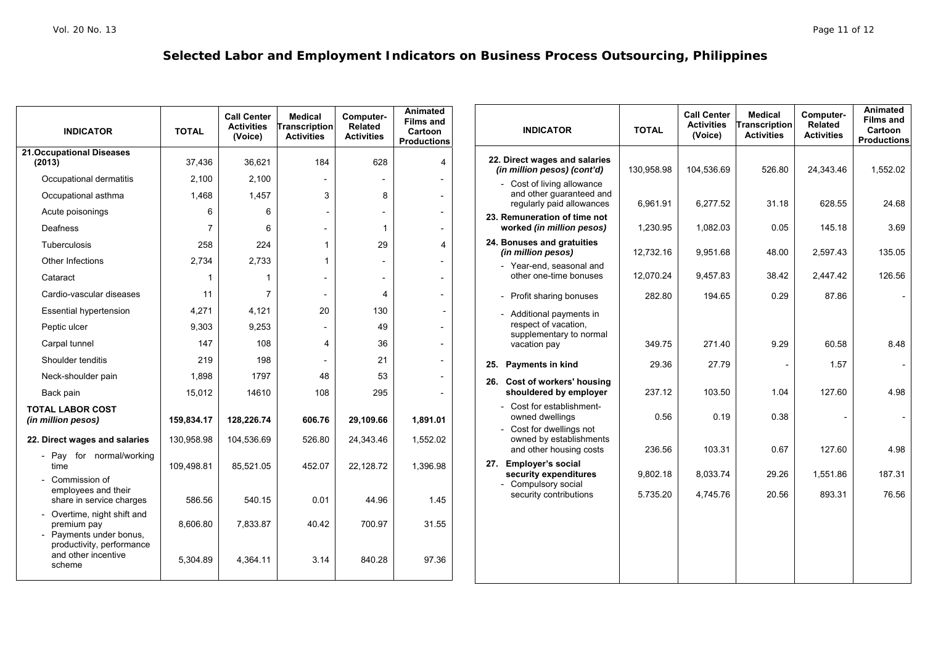| <b>INDICATOR</b>                                                                                 | <b>TOTAL</b>   | <b>Call Center</b><br><b>Activities</b><br>(Voice) | Medical<br>Transcription<br><b>Activities</b> | Computer-<br>Related<br><b>Activities</b> | Animated<br><b>Films and</b><br>Cartoon<br><b>Productions</b> | <b>INDICATOR</b>                                                                | <b>TOTAL</b> | <b>Call Center</b><br><b>Activities</b><br>(Voice) | <b>Medical</b><br><b>Transcription</b><br><b>Activities</b> | Computer-<br><b>Related</b><br><b>Activities</b> | <b>Animated</b><br><b>Films and</b><br>Cartoon<br><b>Productions</b> |
|--------------------------------------------------------------------------------------------------|----------------|----------------------------------------------------|-----------------------------------------------|-------------------------------------------|---------------------------------------------------------------|---------------------------------------------------------------------------------|--------------|----------------------------------------------------|-------------------------------------------------------------|--------------------------------------------------|----------------------------------------------------------------------|
| <b>21.Occupational Diseases</b><br>(2013)                                                        | 37.436         | 36,621                                             | 184                                           | 628                                       | 4                                                             | 22. Direct wages and salaries<br>(in million pesos) (cont'd)                    | 130,958.98   | 104,536.69                                         | 526.80                                                      | 24,343.46                                        | 1,552.02                                                             |
| Occupational dermatitis                                                                          | 2,100          | 2,100                                              | $\overline{\phantom{a}}$                      |                                           |                                                               | - Cost of living allowance                                                      |              |                                                    |                                                             |                                                  |                                                                      |
| Occupational asthma                                                                              | 1,468          | 1,457                                              | 3                                             | 8                                         |                                                               | and other guaranteed and<br>regularly paid allowances                           | 6,961.91     | 6,277.52                                           | 31.18                                                       | 628.55                                           | 24.68                                                                |
| Acute poisonings                                                                                 | 6              | 6                                                  |                                               | $\overline{\phantom{a}}$                  |                                                               | 23. Remuneration of time not                                                    |              |                                                    |                                                             |                                                  |                                                                      |
| <b>Deafness</b>                                                                                  | $\overline{7}$ | 6                                                  | $\overline{\phantom{0}}$                      | $\overline{1}$                            |                                                               | worked (in million pesos)                                                       | 1,230.95     | 1,082.03                                           | 0.05                                                        | 145.18                                           | 3.69                                                                 |
| <b>Tuberculosis</b>                                                                              | 258            | 224                                                | $\mathbf{1}$                                  | 29                                        | $\Delta$                                                      | 24. Bonuses and gratuities<br>(in million pesos)                                | 12,732.16    | 9.951.68                                           | 48.00                                                       | 2.597.43                                         | 135.05                                                               |
| Other Infections                                                                                 | 2,734          | 2,733                                              | $\overline{1}$                                |                                           |                                                               | - Year-end, seasonal and                                                        |              |                                                    |                                                             |                                                  |                                                                      |
| Cataract                                                                                         |                |                                                    |                                               | $\overline{\phantom{a}}$                  |                                                               | other one-time bonuses                                                          | 12,070.24    | 9,457.83                                           | 38.42                                                       | 2,447.42                                         | 126.56                                                               |
| Cardio-vascular diseases                                                                         | 11             | $\overline{7}$                                     | $\overline{\phantom{a}}$                      | 4                                         |                                                               | - Profit sharing bonuses                                                        | 282.80       | 194.65                                             | 0.29                                                        | 87.86                                            | $\overline{\phantom{a}}$                                             |
| <b>Essential hypertension</b>                                                                    | 4,271          | 4.121                                              | 20                                            | 130                                       |                                                               | - Additional payments in                                                        |              |                                                    |                                                             |                                                  |                                                                      |
| Peptic ulcer                                                                                     | 9,303          | 9,253                                              |                                               | 49                                        |                                                               | respect of vacation,                                                            |              |                                                    |                                                             |                                                  |                                                                      |
| Carpal tunnel                                                                                    | 147            | 108                                                | 4                                             | 36                                        |                                                               | supplementary to normal<br>vacation pay                                         | 349.75       | 271.40                                             | 9.29                                                        | 60.58                                            | 8.48                                                                 |
| Shoulder tenditis                                                                                | 219            | 198                                                |                                               | 21                                        |                                                               | 25.<br><b>Payments in kind</b>                                                  | 29.36        | 27.79                                              |                                                             | 1.57                                             | $\overline{\phantom{a}}$                                             |
| Neck-shoulder pain                                                                               | 1,898          | 1797                                               | 48                                            | 53                                        |                                                               | 26. Cost of workers' housing                                                    |              |                                                    |                                                             |                                                  |                                                                      |
| Back pain                                                                                        | 15,012         | 14610                                              | 108                                           | 295                                       |                                                               | shouldered by employer                                                          | 237.12       | 103.50                                             | 1.04                                                        | 127.60                                           | 4.98                                                                 |
| <b>TOTAL LABOR COST</b><br>(in million pesos)                                                    | 159,834.17     | 128,226.74                                         | 606.76                                        | 29,109.66                                 | 1.891.01                                                      | - Cost for establishment-<br>owned dwellings                                    | 0.56         | 0.19                                               | 0.38                                                        |                                                  | $\overline{\phantom{a}}$                                             |
| 22. Direct wages and salaries                                                                    | 130,958.98     | 104,536.69                                         | 526.80                                        | 24,343.46                                 | 1,552.02                                                      | - Cost for dwellings not<br>owned by establishments                             |              |                                                    |                                                             |                                                  |                                                                      |
| Pay for normal/working                                                                           |                |                                                    |                                               |                                           |                                                               | and other housing costs                                                         | 236.56       | 103.31                                             | 0.67                                                        | 127.60                                           | 4.98                                                                 |
| time<br>Commission of                                                                            | 109,498.81     | 85,521.05                                          | 452.07                                        | 22,128.72                                 | 1.396.98                                                      | <b>Employer's social</b><br>27.<br>security expenditures<br>- Compulsory social | 9,802.18     | 8,033.74                                           | 29.26                                                       | 1,551.86                                         | 187.31                                                               |
| employees and their<br>share in service charges                                                  | 586.56         | 540.15                                             | 0.01                                          | 44.96                                     | 1.45                                                          | security contributions                                                          | 5.735.20     | 4.745.76                                           | 20.56                                                       | 893.31                                           | 76.56                                                                |
| Overtime, night shift and<br>premium pay<br>- Payments under bonus,<br>productivity, performance | 8,606.80       | 7,833.87                                           | 40.42                                         | 700.97                                    | 31.55                                                         |                                                                                 |              |                                                    |                                                             |                                                  |                                                                      |
| and other incentive<br>scheme                                                                    | 5,304.89       | 4,364.11                                           | 3.14                                          | 840.28                                    | 97.36                                                         |                                                                                 |              |                                                    |                                                             |                                                  |                                                                      |